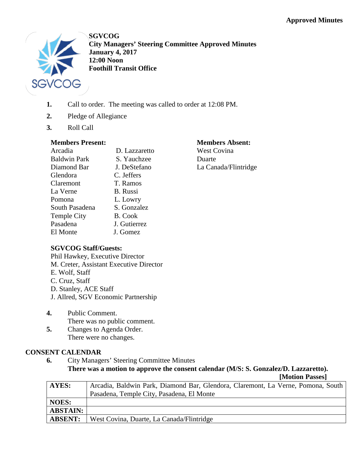

**SGVCOG City Managers' Steering Committee Approved Minutes January 4, 2017 12:00 Noon Foothill Transit Office**

- **1.** Call to order. The meeting was called to order at 12:08 PM.
- **2.** Pledge of Allegiance
- **3.** Roll Call

## **Members Present:**

| Arcadia             | D. Lazzaretto |
|---------------------|---------------|
| <b>Baldwin Park</b> | S. Yauchzee   |
| Diamond Bar         | J. DeStefano  |
| Glendora            | C. Jeffers    |
| Claremont           | T. Ramos      |
| La Verne            | B. Russi      |
| Pomona              | L. Lowry      |
| South Pasadena      | S. Gonzalez   |
| <b>Temple City</b>  | B. Cook       |
| Pasadena            | J. Gutierrez  |
| El Monte            | J. Gomez      |

#### **Members Absent:** West Covina

Duarte La Canada/Flintridge

# **SGVCOG Staff/Guests:**

Phil Hawkey, Executive Director M. Creter, Assistant Executive Director E. Wolf, Staff C. Cruz, Staff D. Stanley, ACE Staff

- J. Allred, SGV Economic Partnership
- **4.** Public Comment. There was no public comment.
- **5.** Changes to Agenda Order. There were no changes.

# **CONSENT CALENDAR**

**6.** City Managers' Steering Committee Minutes **There was a motion to approve the consent calendar (M/S: S. Gonzalez/D. Lazzaretto).**

**[Motion Passes] AYES:** Arcadia, Baldwin Park, Diamond Bar, Glendora, Claremont, La Verne, Pomona, South Pasadena, Temple City, Pasadena, El Monte **NOES: ABSTAIN: ABSENT:** West Covina, Duarte, La Canada/Flintridge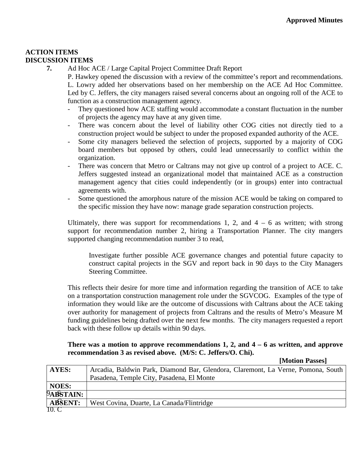## **ACTION ITEMS DISCUSSION ITEMS**

**7.** Ad Hoc ACE / Large Capital Project Committee Draft Report

P. Hawkey opened the discussion with a review of the committee's report and recommendations. L. Lowry added her observations based on her membership on the ACE Ad Hoc Committee. Led by C. Jeffers, the city managers raised several concerns about an ongoing roll of the ACE to function as a construction management agency.

- They questioned how ACE staffing would accommodate a constant fluctuation in the number of projects the agency may have at any given time.
- There was concern about the level of liability other COG cities not directly tied to a construction project would be subject to under the proposed expanded authority of the ACE.
- Some city managers believed the selection of projects, supported by a majority of COG board members but opposed by others, could lead unnecessarily to conflict within the organization.
- There was concern that Metro or Caltrans may not give up control of a project to ACE. C. Jeffers suggested instead an organizational model that maintained ACE as a construction management agency that cities could independently (or in groups) enter into contractual agreements with.
- Some questioned the amorphous nature of the mission ACE would be taking on compared to the specific mission they have now: manage grade separation construction projects.

Ultimately, there was support for recommendations 1, 2, and  $4 - 6$  as written; with strong support for recommendation number 2, hiring a Transportation Planner. The city mangers supported changing recommendation number 3 to read,

Investigate further possible ACE governance changes and potential future capacity to construct capital projects in the SGV and report back in 90 days to the City Managers Steering Committee.

This reflects their desire for more time and information regarding the transition of ACE to take on a transportation construction management role under the SGVCOG. Examples of the type of information they would like are the outcome of discussions with Caltrans about the ACE taking over authority for management of projects from Caltrans and the results of Metro's Measure M funding guidelines being drafted over the next few months. The city managers requested a report back with these follow up details within 90 days.

### **There was a motion to approve recommendations 1, 2, and 4 – 6 as written, and approve recommendation 3 as revised above. (M/S: C. Jeffers/O. Chi).**

**[Motion Passes]** 9A**BSTAIN: ABSENT:** 10. C **AYES:** Arcadia, Baldwin Park, Diamond Bar, Glendora, Claremont, La Verne, Pomona, South Pasadena, Temple City, Pasadena, El Monte **NOES:** West Covina, Duarte, La Canada/Flintridge